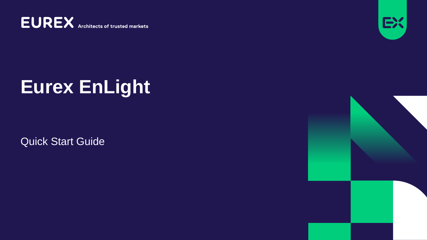**EUREX** Architects of trusted markets



# **Eurex EnLight**

Quick Start Guide

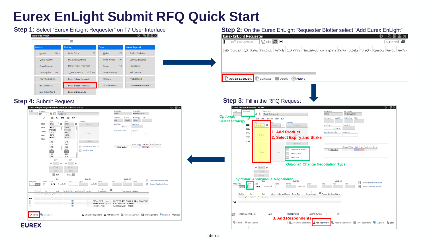## **Eurex EnLight Submit RFQ Quick Start**

#### **Step 1:** Select "Eurex EnLight Requester" on T7 User Interface **Step 2:** On the Eurex EnLight Requester Blotter select "Add Eurex EnLight" **Welcome View Eurex EnLight Requester** 岳国国 Õ. **TOPS ALL**  $\mathbb{R}^2$ Drof/Drod/Contract  $O(10^{12} \text{ m})$ arket rading Info & Support **Product Statistics** Market Chrl M Order Entry F<sub>2</sub> Orders F8. Pre-trade Risk Limits **Contract Statistics** Quote Request Order History  $F<sub>G</sub>$ **Cross Request** Market Maker Protection Trades News Board  $F10$ Time & Sales Ctrl O T7 Entry Service Shift F11 **Trade Summary Risk Controls** TES Time & Sales **Product Pools** Eurex EnLight Responder **TES View** Ext. Ticker Line Eurex EnLight Requester **TES Flex Position Conversion Parameters** Ext. Ticker Board Eurex EnLight Deals

### **Step 4: Submit Request**



|                                            | Lind fundation in an       |                                                | N₩V                 |                                                   |                             |                                                                                                                                 |                  |                          |                                         |                                                             |       | YULYI ILIYA <b>8.8</b> |
|--------------------------------------------|----------------------------|------------------------------------------------|---------------------|---------------------------------------------------|-----------------------------|---------------------------------------------------------------------------------------------------------------------------------|------------------|--------------------------|-----------------------------------------|-------------------------------------------------------------|-------|------------------------|
|                                            |                            |                                                |                     |                                                   |                             | EnID Contract B/S Status Firm/Indic RefOnly ExtRefOnly NegotiateUL WorkingDelta RefPrc ULDelta TotalQty OpenQty PrefBid PrefAsk |                  |                          |                                         |                                                             |       |                        |
|                                            |                            |                                                |                     |                                                   |                             |                                                                                                                                 |                  |                          |                                         |                                                             |       |                        |
|                                            |                            |                                                |                     |                                                   |                             |                                                                                                                                 |                  |                          |                                         |                                                             |       |                        |
|                                            |                            |                                                |                     |                                                   |                             |                                                                                                                                 |                  |                          |                                         |                                                             |       |                        |
|                                            |                            |                                                |                     |                                                   |                             |                                                                                                                                 |                  |                          |                                         |                                                             |       |                        |
| Add Eurex EnLight                          |                            | Duplicate                                      | <b>Details</b>      | (A) History                                       |                             |                                                                                                                                 |                  |                          |                                         |                                                             |       |                        |
|                                            |                            |                                                |                     |                                                   |                             |                                                                                                                                 |                  |                          |                                         |                                                             |       |                        |
|                                            |                            |                                                |                     |                                                   |                             |                                                                                                                                 |                  |                          |                                         |                                                             |       |                        |
|                                            |                            |                                                |                     |                                                   |                             |                                                                                                                                 |                  |                          |                                         |                                                             |       |                        |
|                                            |                            | <b>Step 3: Fill in the RFQ Request</b>         |                     |                                                   |                             |                                                                                                                                 |                  |                          |                                         |                                                             |       |                        |
|                                            |                            | Eurex EnLight Request Details                  |                     |                                                   |                             |                                                                                                                                 |                  |                          |                                         |                                                             | な 図 X |                        |
| EnID                                       | Strategy                   | Detected<br>Đ                                  | Single Instrument   |                                                   |                             | NegStatus<br>OPEN                                                                                                               |                  | Requester<br>MNOHBALX001 |                                         |                                                             |       |                        |
| <b>Optional:</b><br><b>Select Strategy</b> |                            | BER BUL BRT+U CNV                              | <b>BLT</b>          |                                                   |                             | <b>TesState</b>                                                                                                                 | MaxTSL           | EnMinQty<br><b>TRR</b>   |                                         |                                                             |       |                        |
|                                            | <b>OESX</b>                | Leg 1<br>×<br>Product                          | leg 2<br>Product of | Underleg<br>Product                               |                             | NegExpiry                                                                                                                       | TransferIn       |                          |                                         |                                                             |       |                        |
|                                            | <b>OGBL</b>                |                                                |                     | 1. Add Product                                    |                             | hh:mm:ss<br>BuySideUserInfo                                                                                                     | ReportID         |                          |                                         |                                                             |       |                        |
|                                            | <b>OGBM</b><br><b>OGBS</b> | Expiry                                         |                     |                                                   | 2. Select Expiry and Strike |                                                                                                                                 |                  |                          |                                         |                                                             |       |                        |
|                                            | <b>ODAX</b>                |                                                |                     | UnderPrc                                          |                             |                                                                                                                                 |                  |                          |                                         |                                                             |       |                        |
|                                            |                            |                                                |                     | DeltaExch outside T7                              |                             | CLOB Implied                                                                                                                    |                  |                          | Phase BQty   Bid   Ask   AQty   ULPrice |                                                             |       |                        |
|                                            |                            | Strike                                         | Strike              | WorkingDelta                                      |                             |                                                                                                                                 |                  |                          |                                         |                                                             |       |                        |
|                                            |                            |                                                |                     | BasisTrade                                        |                             |                                                                                                                                 |                  |                          |                                         |                                                             |       |                        |
|                                            |                            |                                                |                     |                                                   |                             | <b>Optional: Change Negotiation Type</b>                                                                                        |                  |                          |                                         |                                                             |       |                        |
|                                            |                            | $-$ Ratio $+$<br>EffSide                       |                     |                                                   |                             |                                                                                                                                 |                  |                          |                                         |                                                             |       |                        |
|                                            |                            | EffVol                                         |                     |                                                   |                             |                                                                                                                                 |                  |                          |                                         |                                                             |       |                        |
| Firm/Indic                                 | Anon                       | <b>Optional: Anonymous Negotiation</b><br>Side |                     | Open                                              | Deal                        | Prc<br>Otv                                                                                                                      | LastDeal<br>Time |                          |                                         | ShowRespondentsCount                                        |       |                        |
|                                            | n<br><b>Indic</b>          | ShowToAll<br>B/S                               |                     |                                                   | HideToAll                   |                                                                                                                                 |                  |                          | $\overline{J}$<br>ShowLstDealPrcOnClose |                                                             |       |                        |
|                                            | BidOty<br>Bid              | Ask                                            |                     | AskQty Info AckStatus ShownSide                   | Δ<br>Respondent             | ◉<br>RespondentLegalName                                                                                                        |                  |                          |                                         |                                                             |       |                        |
|                                            |                            | MySellLimit / MyBuyLimit                       |                     |                                                   |                             |                                                                                                                                 |                  |                          |                                         |                                                             |       |                        |
| ToB                                        |                            |                                                |                     |                                                   |                             |                                                                                                                                 |                  |                          |                                         |                                                             |       |                        |
|                                            |                            |                                                |                     |                                                   |                             |                                                                                                                                 |                  |                          |                                         |                                                             |       |                        |
|                                            | 3 RESP ALX2 AND 1 KM       |                                                | <b>ABC</b>          | ABCFRMFUV03                                       | ABCFRMFUVO1                 |                                                                                                                                 | AN               |                          |                                         |                                                             |       |                        |
|                                            | V Submit % End Session     |                                                |                     | <b>3. Add Respondents</b><br>Add Smart Respondent |                             |                                                                                                                                 |                  |                          |                                         | Reset Remove Respondent <b>Respondents</b> Pouplicate Seset |       |                        |
|                                            |                            |                                                |                     |                                                   |                             | Add Respondent                                                                                                                  |                  |                          |                                         |                                                             |       |                        |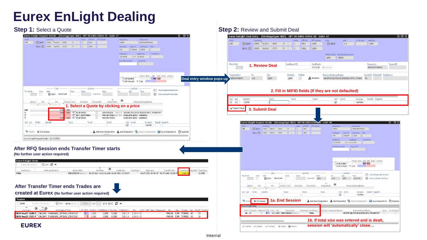## **Eurex EnLight Dealing**

#### **Step 1:** Select a Quote **Step 1:** Select a Quote **Step 2:** Review and Submit Deal

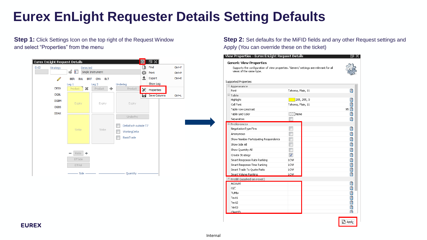## **Eurex EnLight Requester Details Setting Defaults**

**Step 1:** Click Settings Icon on the top right of the Request Window and select "Properties" from the menu



**Step 2:** Set defaults for the MiFID fields and any other Request settings and Apply (You can override these on the ticket)

| <b>Generic View Properties</b><br>Supports the configuration of view properties. 'Generic' settings are relevant for all |                         |      |
|--------------------------------------------------------------------------------------------------------------------------|-------------------------|------|
| views of the same type.                                                                                                  |                         |      |
|                                                                                                                          |                         |      |
| Supported Properties                                                                                                     |                         |      |
| $\Box$ Appearance                                                                                                        |                         |      |
| Font                                                                                                                     | Tahoma, Plain, 11       | 面    |
| $\boxdot$ Table                                                                                                          |                         |      |
| Highlight                                                                                                                | 255, 255, 0             | H    |
| Cell Font                                                                                                                | Tahoma, Plain, 11       | 圎    |
| Table row constrast                                                                                                      |                         | 95 团 |
| Table Grid Color                                                                                                         | ∏ None                  | 团    |
| Separators                                                                                                               |                         | n    |
| $E$ Preferences                                                                                                          |                         |      |
| NegotiationType Firm                                                                                                     |                         | 圕    |
| Anonymous                                                                                                                |                         | 面    |
| Show Number Participating Respondents                                                                                    |                         | H    |
| Show Side All                                                                                                            |                         | 团    |
| Show Quantity All                                                                                                        |                         | Ø    |
| Create Strategy                                                                                                          | $\overline{\mathbf{v}}$ | H    |
| Smart Response Rate Ranking                                                                                              | LOW                     | Ĥ    |
| Smart Response Time Ranking                                                                                              | LOW                     | ď    |
| Smart Trade To Quote Ratio                                                                                               | LOW                     | E    |
| Smart Volume Ranking                                                                                                     | LOW                     | 闠    |
| $\Box$ Prefill (applied on reset)                                                                                        |                         |      |
| Account                                                                                                                  |                         | H    |
| О/С                                                                                                                      |                         | ď    |
| TUMbr                                                                                                                    |                         | Ø    |
| Text1                                                                                                                    |                         | Ø    |
| Text2                                                                                                                    |                         | H    |
| Text3                                                                                                                    |                         | Ø    |



**EUREX**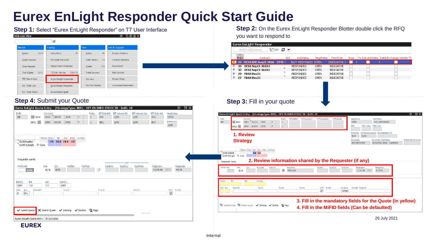### **Eurex EnLight Responder Quick Start Guide**

| <b>Welcome View</b>         |                                      |                                 | 囸<br>TE BL<br>۰              |
|-----------------------------|--------------------------------------|---------------------------------|------------------------------|
|                             |                                      |                                 |                              |
| Market                      | Trading                              | Own                             | Info & Support               |
| Ctrl M<br>Market            | F <sub>2</sub><br>Order Entry        | F <sub>8</sub><br>Orders        | <b>Product Statistics</b>    |
| Quote Request               | Pre-trade Risk Limits                | F <sub>9</sub><br>Order History | <b>Contract Statistics</b>   |
| <b>Cross Request</b>        | <b>Market Maker Protection</b>       | F10<br>Trades                   | News Board                   |
| Ctrl O<br>Time & Sales      | Shift F11<br><b>T7 Entry Service</b> | <b>Trade Summary</b>            | <b>Risk Controls</b>         |
| <b>TES Time &amp; Sales</b> | Eurex EnLight Responder              | <b>TES View</b>                 | <b>Product Pools</b>         |
| Ext. Ticker Line            | Eurex EnLight Requester              | <b>TES Flex Position</b>        | <b>Conversion Parameters</b> |
| Ext. Ticker Board           | <b>Eurex EnLight Deals</b>           |                                 |                              |

### **Step 4:** Submit your Quote **Step 4:** Submit your quote

| EnID<br>10                                       | <b>BUY</b>                | Contract<br><b>OESX</b><br><b>JAN20</b> | 3600                                      | P            | Ratio<br>$\mathbf{1}$ | Eff Side Bid<br><b>BUY</b> | <b>Eff Volume Bid</b><br>1000 | Eff Volume Ask<br>1000 | <b>Eff Side Ask</b><br><b>SELL</b> | NegStatus<br><b>OPEN</b>                |
|--------------------------------------------------|---------------------------|-----------------------------------------|-------------------------------------------|--------------|-----------------------|----------------------------|-------------------------------|------------------------|------------------------------------|-----------------------------------------|
|                                                  | <b>SELL</b>               | <b>OESX</b><br><b>JAN20</b>             | 3500                                      | P            | $\mathbf{1}$          | <b>SELL</b>                | 1000                          | 1000                   | <b>BUY</b>                         | <b>EnMinQty</b><br>1000                 |
| CLOB Implied<br>CLOB Outright<br>Requester wants | $\boxplus$ Cont           | Phase BQty<br>Bid                       | Ask<br>100 18.4 19.4 100                  | AQty ULPrice |                       |                            |                               |                        |                                    |                                         |
| Firm/Indic                                       | Indic                     | Side<br>Qty<br>B/S<br>1000              | PrefBid                                   | PrefAsk      |                       | DealPrc<br>ß               | $-$ Last $-$<br>DealQty       | DealTime               | NegExpiry<br>13:29:48 CEST         | NegExpIn<br>49:38                       |
| BidQty<br>1000<br>O/C<br>Act<br>M <sub>1</sub>   | Bid<br>12<br>ClientID     | Ask<br>13                               | AskQty<br>1000<br>Text1                   |              |                       | Text2                      |                               | Text3                  |                                    | LiPrv InvID<br>$\overline{\mathcal{A}}$ |
| Submit Quote                                     | Eurex EnLight Quote Entry | <b>(1) SUCCESS</b>                      | X Delete Quote √ Working √ Decline S Page |              |                       |                            |                               | *********              |                                    |                                         |

**Step 1:** Select "Eurex EnLight Responder" on T7 User Interface **Step 2:** On the Eurex EnLight Responder Blotter double click the RFQ you want to respond to

|                      | Eurex EnLight Responder                |     |                    |           |                   |      |                                               |
|----------------------|----------------------------------------|-----|--------------------|-----------|-------------------|------|-----------------------------------------------|
|                      | <b>Sedit ₫ ⊡</b><br>Prof/Prod/Contract |     |                    |           |                   |      |                                               |
| ▽<br>EnID            | Contract                               | B/S | <b>AckStatus</b>   | NegStatus | Firm/Indic        | Anon | Fix Ref and Delta   Delta Exchange outside T7 |
| E<br>49.             | <b>OESX BER Aug21 3850 - 3775</b>      |     | NOT RESPONDED OPEN |           | INDICATIVE        |      |                                               |
| $\pm$<br>35          | OESX Sep21 3650 C                      |     | <b>RESPONDED</b>   | OPEN      | <b>INDICATIVE</b> |      |                                               |
| $\overline{+}$<br>32 | <b>OESX Sep21 3650 C</b>               |     | <b>RESPONDED</b>   | OPEN      | <b>INDICATIVE</b> |      |                                               |
| $\overline{+}$<br>29 | <b>FDAX Dec21</b>                      |     | <b>RESPONDED</b>   | OPEN      | <b>INDICATIVE</b> |      |                                               |
| $\overline{+}$<br>27 | <b>FDAX Dec21</b>                      |     | <b>RESPONDED</b>   | OPEN      | <b>INDICATIVE</b> |      |                                               |

| Eurex EnLight Quote Entry - (StrategyType: BER) - OPT ON EURO STOXX 50 - EnID: 49                                                                    |                                                                                                             |                                                              |                                                | ۰<br>日米          |
|------------------------------------------------------------------------------------------------------------------------------------------------------|-------------------------------------------------------------------------------------------------------------|--------------------------------------------------------------|------------------------------------------------|------------------|
| EffSideBid<br>EnID<br>Contract<br>Ratio<br>49<br><b>OESX</b><br>AUG21<br>P<br><b>BUY</b><br>3850<br>AUG21<br>3775<br><b>SELL</b><br><b>OESX</b><br>D | <b>EffVolumeAsk</b><br>EffVolumeBid<br><b>EffSideAsk</b>                                                    | NegStatus<br><b>OPEN</b><br>TOR Value TOR Rank<br><b>TRR</b> | <b>AckStatus</b><br><b>NOT RESPONDED</b>       |                  |
| 1. Review                                                                                                                                            |                                                                                                             | EnMinOtv<br>25000<br>1000                                    | NonDisclosureLimit BuySideUserInfo             |                  |
| <b>Strategy</b>                                                                                                                                      |                                                                                                             | Requester<br>MNOHBTOM002                                     | RequesterLegalName<br>MUNICIPAL BANK - HAMBURG | RespondentsCount |
| CLOB Outright El Cont<br>Requester wants<br>Firm/Indic<br>Side<br>Workflow<br>SellLimit<br><b>BuyLimit</b><br>Oty                                    | 2. Review information shared by the Requester (if any)<br>DealTime<br><b>DealPrc</b><br><b>DealOty</b>      | NegExpiry                                                    | NegExpIn                                       |                  |
| B/S<br>Indic.<br><b>REGULAR</b><br>BidQty<br>Bid<br>Ask<br>AskOty                                                                                    |                                                                                                             | 11:10:38 CEST                                                | 0:12:51                                        |                  |
| O/C Act<br>ClientID<br>Text1<br>Text <sub>2</sub>                                                                                                    | Text <sub>3</sub><br>LiPry InvID<br>InvQual<br>$\overline{\mathsf{v}}$<br><b>HUMAN</b>                      | RateID RegInfo                                               |                                                |                  |
| V Submit Quote V Delete Quote V Working V Decline I Page                                                                                             | 3. Fill in the mandatory fields for the Quote (in yellow)<br>4. Fill in the MiFID fields (Can be defaulted) |                                                              |                                                |                  |
|                                                                                                                                                      |                                                                                                             |                                                              | 26 July 2021                                   |                  |